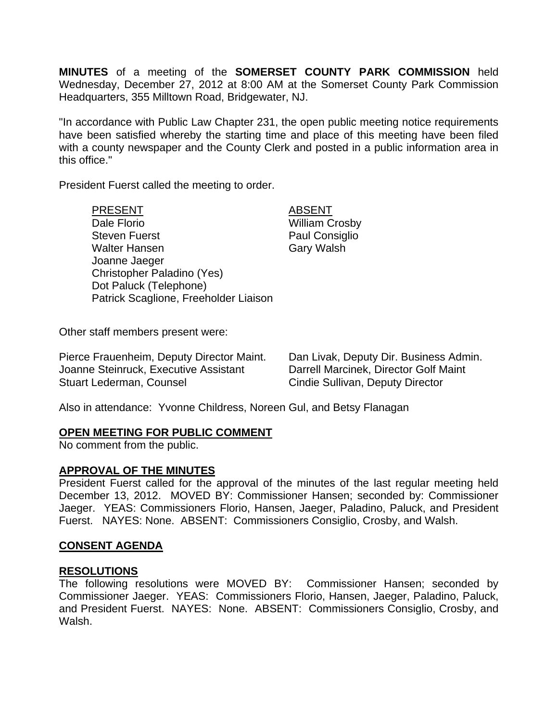**MINUTES** of a meeting of the **SOMERSET COUNTY PARK COMMISSION** held Wednesday, December 27, 2012 at 8:00 AM at the Somerset County Park Commission Headquarters, 355 Milltown Road, Bridgewater, NJ.

"In accordance with Public Law Chapter 231, the open public meeting notice requirements have been satisfied whereby the starting time and place of this meeting have been filed with a county newspaper and the County Clerk and posted in a public information area in this office."

President Fuerst called the meeting to order.

| <b>PRESENT</b>                        | ١Е |
|---------------------------------------|----|
| Dale Florio                           | Wi |
| <b>Steven Fuerst</b>                  | Pа |
| <b>Walter Hansen</b>                  | Gε |
| Joanne Jaeger                         |    |
| Christopher Paladino (Yes)            |    |
| Dot Paluck (Telephone)                |    |
| Patrick Scaglione, Freeholder Liaison |    |
|                                       |    |

**BSENT** illiam Crosby aul Consiglio ary Walsh

Other staff members present were:

Pierce Frauenheim, Deputy Director Maint. Dan Livak, Deputy Dir. Business Admin. Joanne Steinruck, Executive Assistant Darrell Marcinek, Director Golf Maint Stuart Lederman, Counsel **Cindie Sullivan, Deputy Director** 

Also in attendance: Yvonne Childress, Noreen Gul, and Betsy Flanagan

## **OPEN MEETING FOR PUBLIC COMMENT**

No comment from the public.

### **APPROVAL OF THE MINUTES**

President Fuerst called for the approval of the minutes of the last regular meeting held December 13, 2012. MOVED BY: Commissioner Hansen; seconded by: Commissioner Jaeger. YEAS: Commissioners Florio, Hansen, Jaeger, Paladino, Paluck, and President Fuerst. NAYES: None. ABSENT: Commissioners Consiglio, Crosby, and Walsh.

## **CONSENT AGENDA**

### **RESOLUTIONS**

The following resolutions were MOVED BY: Commissioner Hansen; seconded by Commissioner Jaeger. YEAS: Commissioners Florio, Hansen, Jaeger, Paladino, Paluck, and President Fuerst. NAYES: None. ABSENT: Commissioners Consiglio, Crosby, and Walsh.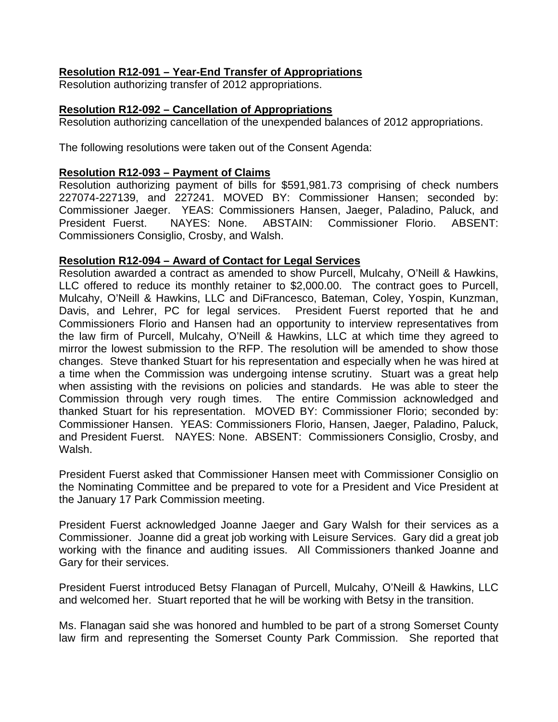# **Resolution R12-091 – Year-End Transfer of Appropriations**

Resolution authorizing transfer of 2012 appropriations.

# **Resolution R12-092 – Cancellation of Appropriations**

Resolution authorizing cancellation of the unexpended balances of 2012 appropriations.

The following resolutions were taken out of the Consent Agenda:

# **Resolution R12-093 – Payment of Claims**

Resolution authorizing payment of bills for \$591,981.73 comprising of check numbers 227074-227139, and 227241. MOVED BY: Commissioner Hansen; seconded by: Commissioner Jaeger. YEAS: Commissioners Hansen, Jaeger, Paladino, Paluck, and President Fuerst. NAYES: None. ABSTAIN: Commissioner Florio. ABSENT: Commissioners Consiglio, Crosby, and Walsh.

# **Resolution R12-094 – Award of Contact for Legal Services**

Resolution awarded a contract as amended to show Purcell, Mulcahy, O'Neill & Hawkins, LLC offered to reduce its monthly retainer to \$2,000.00. The contract goes to Purcell, Mulcahy, O'Neill & Hawkins, LLC and DiFrancesco, Bateman, Coley, Yospin, Kunzman, Davis, and Lehrer, PC for legal services. President Fuerst reported that he and Commissioners Florio and Hansen had an opportunity to interview representatives from the law firm of Purcell, Mulcahy, O'Neill & Hawkins, LLC at which time they agreed to mirror the lowest submission to the RFP. The resolution will be amended to show those changes. Steve thanked Stuart for his representation and especially when he was hired at a time when the Commission was undergoing intense scrutiny. Stuart was a great help when assisting with the revisions on policies and standards. He was able to steer the Commission through very rough times. The entire Commission acknowledged and thanked Stuart for his representation. MOVED BY: Commissioner Florio; seconded by: Commissioner Hansen. YEAS: Commissioners Florio, Hansen, Jaeger, Paladino, Paluck, and President Fuerst. NAYES: None. ABSENT: Commissioners Consiglio, Crosby, and Walsh.

President Fuerst asked that Commissioner Hansen meet with Commissioner Consiglio on the Nominating Committee and be prepared to vote for a President and Vice President at the January 17 Park Commission meeting.

President Fuerst acknowledged Joanne Jaeger and Gary Walsh for their services as a Commissioner. Joanne did a great job working with Leisure Services. Gary did a great job working with the finance and auditing issues. All Commissioners thanked Joanne and Gary for their services.

President Fuerst introduced Betsy Flanagan of Purcell, Mulcahy, O'Neill & Hawkins, LLC and welcomed her. Stuart reported that he will be working with Betsy in the transition.

Ms. Flanagan said she was honored and humbled to be part of a strong Somerset County law firm and representing the Somerset County Park Commission. She reported that